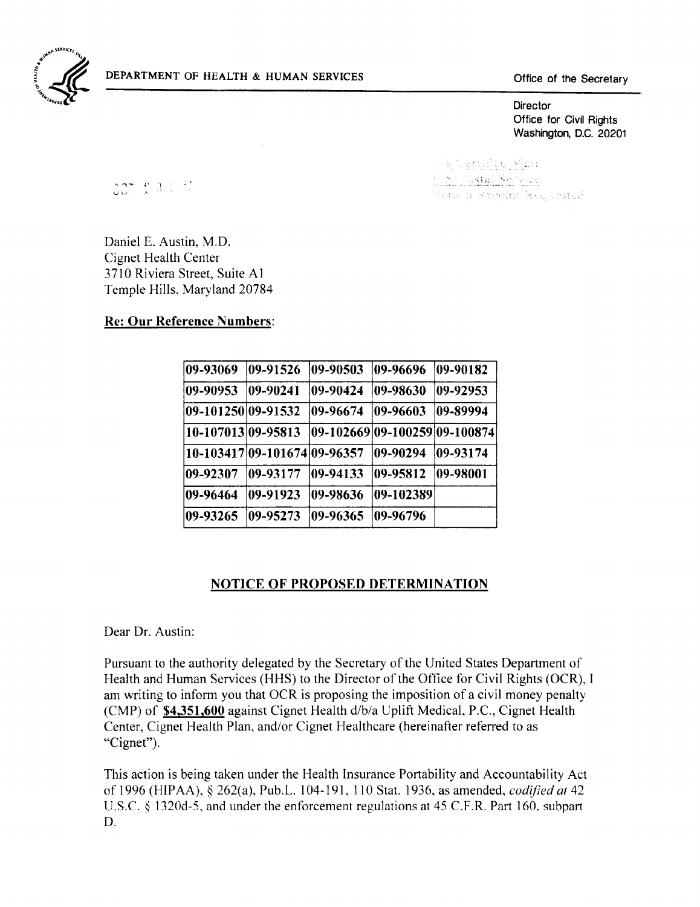

Office for Civil Rights Washington, D.C. 20201

 $307.2007$ 

he Terufles Man .S. Pastal Service Ketu n Kenggat Regueested

Daniel E. Austin, M.D. Cignet Health Center 3710 Riviera Street, Suite Al Temple Hills, Maryland 20784

#### Re: Our Reference Numbers:

| 09-93069           | 09-91526                     | 09-90503 | 09-96696                      | $ 09-90182\rangle$ |
|--------------------|------------------------------|----------|-------------------------------|--------------------|
| 09-90953           | 09-90241                     | 09-90424 | 109-98630                     | 09-92953           |
| 09-101250 09-91532 |                              | 09-96674 | $ 09 - 96603$                 | 09-89994           |
| 10-107013 09-95813 |                              |          | 09-102669 09-100259 09-100874 |                    |
|                    | 10-103417 09-101674 09-96357 |          | 109-90294                     | 109-93174          |
| 09-92307           | 109-93177                    | 09-94133 | 09-95812                      | $ 09 - 98001$      |
| 09-96464           | 109-91923                    | 09-98636 | 09-102389                     |                    |
| 09-93265           | 09-95273                     | 09-96365 | 109-96796                     |                    |

#### NOTICE OF PROPOSED DETERMINATION

Dear Dr. Austin:

Pursuant to the authority delegated by the Secretary of the United States Department of Health and Human Services (HHS) to the Director of the Office for Civil Rights (OCR), I am writing to inform you that OCR is proposing the imposition of a civil money penalty (CMP) of \$4,351,600 against Cignet Health d/b/a Uplift Medical, P.C., Cignet Health Center, Cignet Health Plan, and/or Cignet Healthcare (hereinafter referred to as "Cignet").

This action is being taken under the Health Insurance Portability and Accountability Act of 1996 (HIPAA), § 262(a), Pub.L. 104-191, 110 Stat. 1936, as amended, *codified at 42*  U.S.c. § 1320d-5, and under the enforcement regulations at 45 C.F.R. Part 160. subpart D.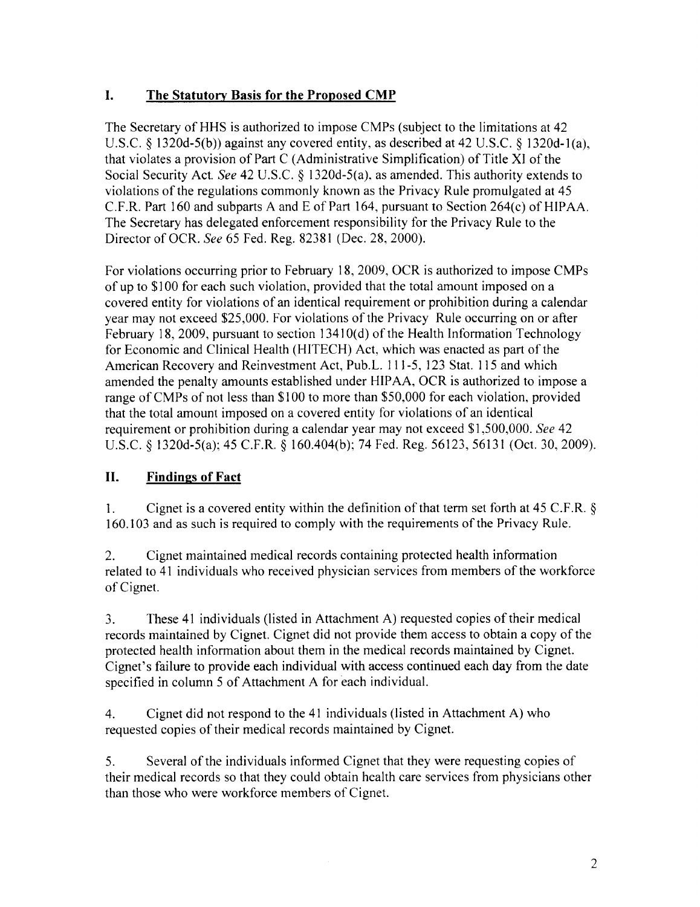# **I.** The Statutory Basis for the Proposed CMP

The Secretary of HHS is authorized to impose CMPs (subject to the limitations at 42 U.S.C. § 1320d-5(b)) against any covered entity, as described at 42 U.S.C. § 1320d-1(a), that violates a provision of Part C (Administrative Simplification) of Title XI of the Social Security Act. *See* 42 U.S.C. § 1320d-5(a). as amended. This authority extends to violations of the regulations commonly known as the Privacy Rule promulgated at 45 C.F.R. Part 160 and subparts A and E of Part 164, pursuant to Section  $264(c)$  of HIPAA. The Secretary has delegated enforcement responsibility for the Privacy Rule to the Director of OCR. *See* 65 Fed. Reg. 82381 (Dec. 28, 2000).

For violations occurring prior to February 18,2009, OCR is authorized to impose CMPs of up to \$100 for each such violation, provided that the total amount imposed on a covered entity for violations of an identical requirement or prohibition during a calendar year may not exceed \$25,000. For violations of the Privacy Rule occurring on or after February 18, 2009, pursuant to section 1341 O(d) of the Health Information Technology for Economic and Clinical Health (HITECH) Act, which was enacted as part of the American Recovery and Reinvestment Act, Pub.L. 111-5, 123 Stat. 115 and which amended the penalty amounts established under HIP AA, OCR is authorized to impose a range of CMPs of not less than \$100 to more than \$50,000 for each violation, provided that the total amount imposed on a covered entity for violations of an identical requirement or prohibition during a calendar year may not exceed \$1,500,000. *See 42*  U.S.c. § 1320d-5(a); 45 C.F.R. § 160.404(b); 74 Fed. Reg. 56123, 56131 (Oct. 30,2009).

# **II. Findings of Fact**

1. Cignet is a covered entity within the definition of that term set forth at 45 C.F.R. § 160.103 and as such is required to comply with the requirements of the Privacy Rule.

2. Cignet maintained medical records containing protected health information related to 41 individuals who received physician services from members of the workforce of Cignet.

3. These 41 individuals (listed in Attachment A) requested copies of their medical records maintained by Cignet. Cignet did not provide them access to obtain a copy of the protected health information about them in the medical records maintained by Cignet. Cignet's failure to provide each individual with access continued each day from the date specified in column 5 of Attachment A for each individual.

4. Cignet did not respond to the 41 individuals (listed in Attachment A) who requested copies of their medical records maintained by Cignet.

5. Several of the individuals informed Cignet that they were requesting copies of their medical records so that they could obtain health care services from physicians other than those who were workforce members of Cignet.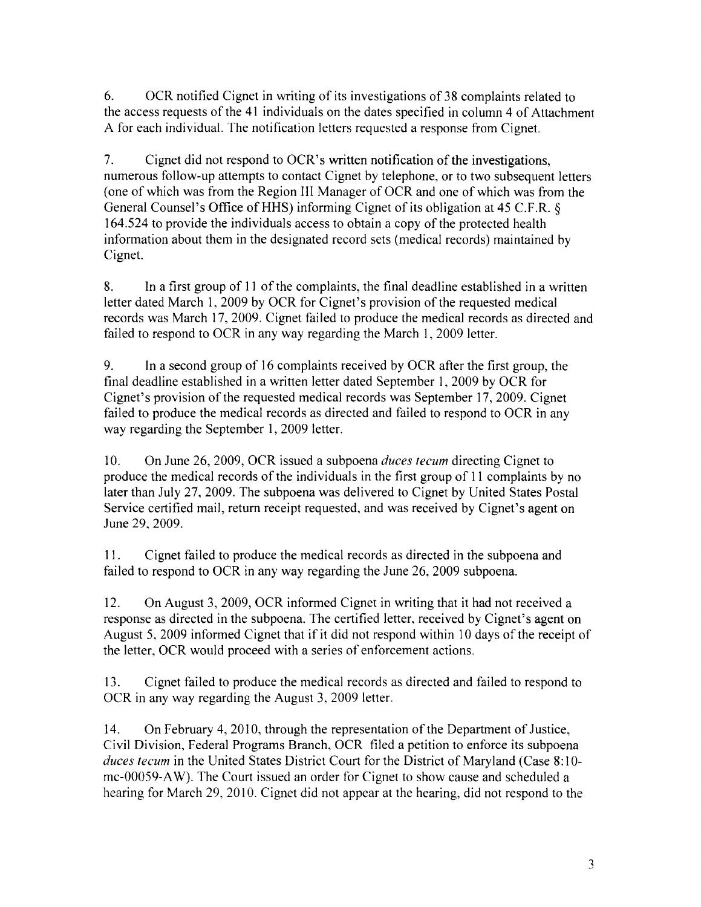6. OCR notified Cignet in writing of its investigations of 38 complaints related to the access requests of the 41 individuals on the dates specified in column 4 of Attachment A for each individual. The notification letters requested a response from Cignet.

7. Cignet did not respond to OCR's written notification of the investigations, numerous follow-up attempts to contact Cignet by telephone, or to two subsequent letters (one of which was from the Region III Manager of OCR and one of which was from the General Counsel's Office of HHS) informing Cignet of its obligation at 45 C.F.R. § 164.524 to provide the individuals access to obtain a copy of the protected health information about them in the designated record sets (medical records) maintained by Cignet.

8. In a first group of 11 of the complaints, the final deadline established in a written letter dated March 1, 2009 by OCR for Cignet's provision of the requested medical records was March 17,2009. Cignet failed to produce the medical records as directed and failed to respond to OCR in any way regarding the March 1, 2009 letter.

9. In a second group of 16 complaints received by OCR after the first group, the final deadline established in a written letter dated September 1, 2009 by OCR for Cignet's provision of the requested medical records was September 17,2009. Cignet failed to produce the medical records as directed and failed to respond to OCR in any way regarding the September 1, 2009 letter.

10. On June 26, 2009, OCR issued a subpoena *duces tecum* directing Cignet to produce the medical records of the individuals in the first group of 11 complaints by no later than July 27, 2009. The subpoena was delivered to Cignet by United States Postal Service certified mail, return receipt requested, and was received by Cignet's agent on June 29, 2009.

11. Cignet failed to produce the medical records as directed in the subpoena and failed to respond to OCR in any way regarding the June 26,2009 subpoena.

12. On August 3, 2009, OCR informed Cignet in writing that it had not received a response as directed in the subpoena. The certified letter, received by Cignet's agent on August 5, 2009 informed Cignet that if it did not respond within 10 days of the receipt of the letter, OCR would proceed with a series of enforcement actions.

13. Cignet failed to produce the medical records as directed and failed to respond to OCR in any way regarding the August 3, 2009 letter.

14. On February 4, 2010, through the representation of the Department of Justice, Civil Division, Federal Programs Branch, OCR filed a petition to enforce its subpoena *duces tecum* in the United States District Court for the District of Maryland (Case 8:10mc-00059-A W). The Court issued an order for Cignet to show cause and scheduled a hearing for March 29, 2010. Cignet did not appear at the hearing, did not respond to the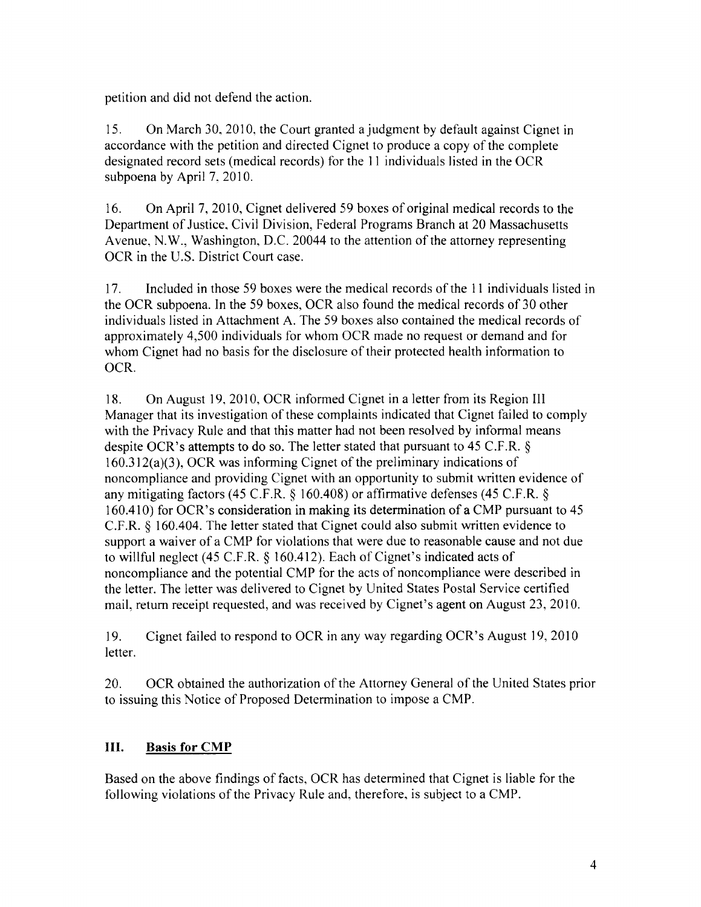petition and did not defend the action.

15. On March 30, 2010, the Court granted a judgment by default against Cignet in accordance with the petition and directed Cignet to produce a copy of the complete designated record sets (medical records) for the 11 individuals listed in the OCR subpoena by April 7. 2010.

16. On April 7, 2010, Cignet delivered 59 boxes of original medical records to the Department of Justice, Civil Division, Federal Programs Branch at 20 Massachusetts Avenue, N.W., Washington, D.C. 20044 to the attention of the attorney representing OCR in the U.S. District Court case.

17. Included in those 59 boxes were the medical records of the 11 individuals listed in the OCR subpoena. In the 59 boxes, OCR also found the medical records of 30 other individuals listed in Attachment A. The 59 boxes also contained the medical records of approximately 4,500 individuals for whom OCR made no request or demand and for whom Cignet had no basis for the disclosure of their protected health information to OCR.

18. On August 19, 2010, OCR informed Cignet in a letter from its Region III Manager that its investigation of these complaints indicated that Cignet failed to comply with the Privacy Rule and that this matter had not been resolved by informal means despite OCR's attempts to do so. The letter stated that pursuant to 45 C.F.R. § 160.312(a)(3), OCR was informing Cignet of the preliminary indications of noncompliance and providing Cignet with an opportunity to submit written evidence of any mitigating factors (45 C.F.R. § 160.408) or affirmative defenses (45 C.F.R. § 160.410) for OCR's consideration in making its determination of a CMP pursuant to 45 C.F.R. § 160.404. The letter stated that Cignet could also submit written evidence to support a waiver of a CMP for violations that were due to reasonable cause and not due to willful neglect (45 C.F.R.  $\S$  160.412). Each of Cignet's indicated acts of noncompliance and the potential CMP for the acts of noncompliance were described in the letter. The letter was delivered to Cignet by United States Postal Service certified mail, return receipt requested, and was received by Cignet's agent on August 23, 2010.

19. eignet failed to respond to OCR in any way regarding OCR's August 19,2010 letter.

20. OCR obtained the authorization of the Attorney General of the United States prior to issuing this Notice of Proposed Determination to impose a CMP.

# **III. Basis for CMP**

Based on the above findings of facts, OCR has determined that Cignet is liable for the following violations of the Privacy Rule and, therefore, is subject to a CMP.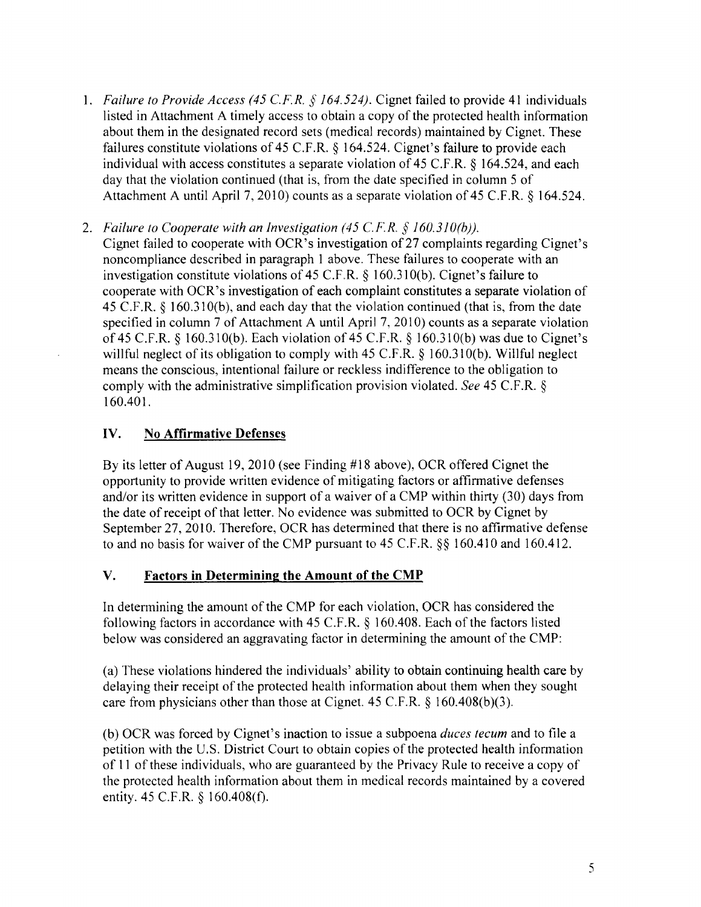- *1. Failure to Provide Access* (45 *C.F.R.* § *164.524).* Cignet failed to provide 41 individuals listed in Attachment A timely access to obtain a copy of the protected health information about them in the designated record sets (medical records) maintained by Cignet. These failures constitute violations of 45 C.F.R. § 164.524. Cignet's failure to provide each individual with access constitutes a separate violation of 45 C.F.R. § 164.524, and each day that the violation continued (that is, from the date specified in column 5 of Attachment A until April 7,2010) counts as a separate violation of 45 C.F.R. § 164.524.
- *2. Failure to Cooperate with an Investigation* (45 *C.F.R.* § *I60.3JO(b)).*  Cignet failed to cooperate with OCR's investigation of27 complaints regarding Cignet's noncompliance described in paragraph 1 above. These failures to cooperate with an investigation constitute violations of 45 C.F .R. § 160.31O(b). Cignet's failure to cooperate with OCR's investigation of each complaint constitutes a separate violation of 45 C.F.R. § 160.31O(b), and each day that the violation continued (that is, from the date specified in column 7 of Attachment A until April 7,2010) counts as a separate violation of 45 C.F.R. § 160.31 O(b). Each violation of 45 C.F.R. § 160.31O(b) was due to Cignet's willful neglect of its obligation to comply with 45 C.F.R. § 160.31O(b). Willful neglect means the conscious, intentional failure or reckless indifference to the obligation to comply with the administrative simplification provision violated. *See* 45 C.F.R. § 160.401.

# **IV. No Affirmative Defenses**

By its letter of August 19,2010 (see Finding #18 above), OCR offered Cignet the opportunity to provide written evidence of mitigating factors or affirmative defenses and/or its written evidence in support of a waiver of a CMP within thirty (30) days from the date of receipt of that letter. No evidence was submitted to OCR by Cignet by September 27, 2010. Therefore, OCR has determined that there is no affirmative defense to and no basis for waiver of the CMP pursuant to 45 C.F.R. §§ 160.410 and 160.412.

### **V. Factors in Determining the Amount of the CMP**

In determining the amount of the CMP for each violation, OCR has considered the following factors in accordance with 45 C.F.R. § 160.408. Each of the factors listed below was considered an aggravating factor in determining the amount of the CMP:

(a) These violations hindered the individuals' ability to obtain continuing health care by delaying their receipt of the protected health information about them when they sought care from physicians other than those at Cignet.  $45$  C.F.R.  $\S$  160.408(b)(3).

(b) OCR was forced by Cignet's inaction to issue a subpoena *duces tecum* and to file a petition with the U. S. District Court to obtain copies of the protected health information of 11 of these individuals, who are guaranteed by the Privacy Rule to receive a copy of the protected health information about them in medical records maintained by a covered entity. 45 C.F.R. § 160.408(f).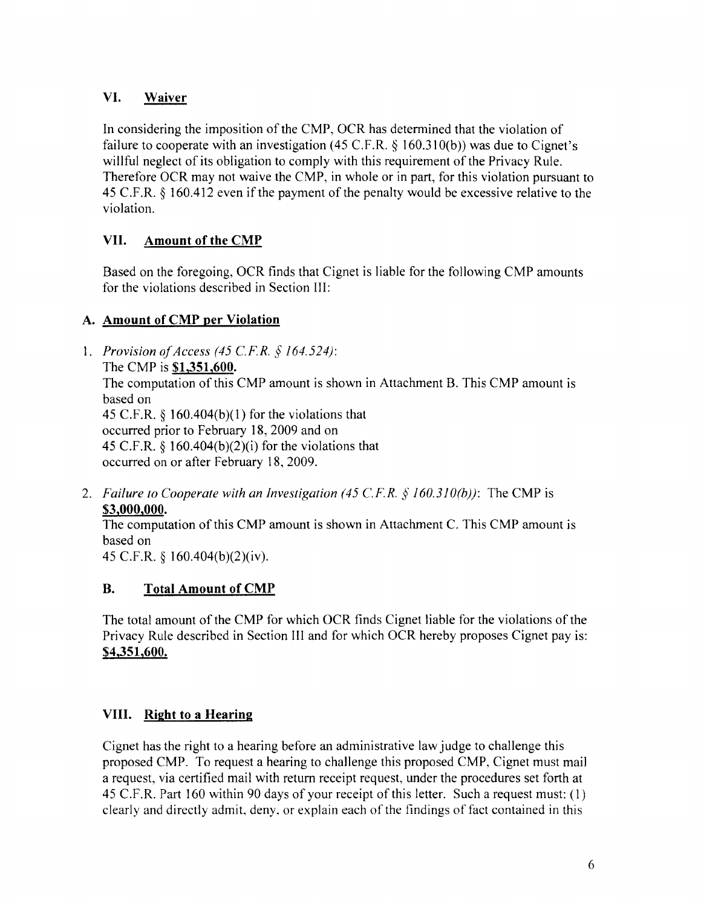# **VI. Waiver**

**In** considering the imposition of the CMP, OCR has detennined that the violation of failure to cooperate with an investigation (45 C.F.R.  $\S$  160.310(b)) was due to Cignet's willful neglect of its obligation to comply with this requirement of the Privacy Rule. Therefore OCR may not waive the CMP, in whole or in part, for this violation pursuant to 45 C.F.R.  $\S$  160.412 even if the payment of the penalty would be excessive relative to the violation.

# **VII.** Amount of the CMP

Based on the foregoing, OCR finds that Cignet is liable for the following CMP amounts for the violations described in Section III:

# **A. Amount of eMP per Violation**

- 1. *Provision ofAccess* (45 *CF.R.* § 164.524): The CMP is **\$1,351,600.**  The computation of this CMP amount is shown in Attachment B. This CMP amount is based on 45 C.F.R.  $\frac{6}{3}$  160.404(b)(1) for the violations that occurred prior to February 18, 2009 and on 45 C.F.R.  $\frac{1}{6}$  160.404(b)(2)(i) for the violations that occurred on or after February 18,2009.
- *2. Failure to Cooperate with an Investigation* (45 *CF.R.* § *160.310(b)):* The CMP is **\$3,000,000.**

The computation of this CMP amount is shown in Attachment C. This CMP amount is based on

45 C.F.R. § 160.404(b)(2)(iv).

# **B. Total Amount of CMP**

The total amount of the CMP for which OCR finds Cignet liable for the violations of the Privacy Rule described in Section III and for which OCR hereby proposes Cignet pay is: **\$4,351,600.** 

# **VIII. Right to a Hearing**

Cignet has the right to a hearing before an administrative law judge to challenge this proposed CMP. To request a hearing to challenge this proposed CMP, Cignet must mail a request, via certified mail with return receipt request, under the procedures set forth at 45 C.F.R. Part 160 within 90 days of your receipt of this letter. Such a request must: (1) clearly and directly admit, deny, or explain each of the findings of fact contained in this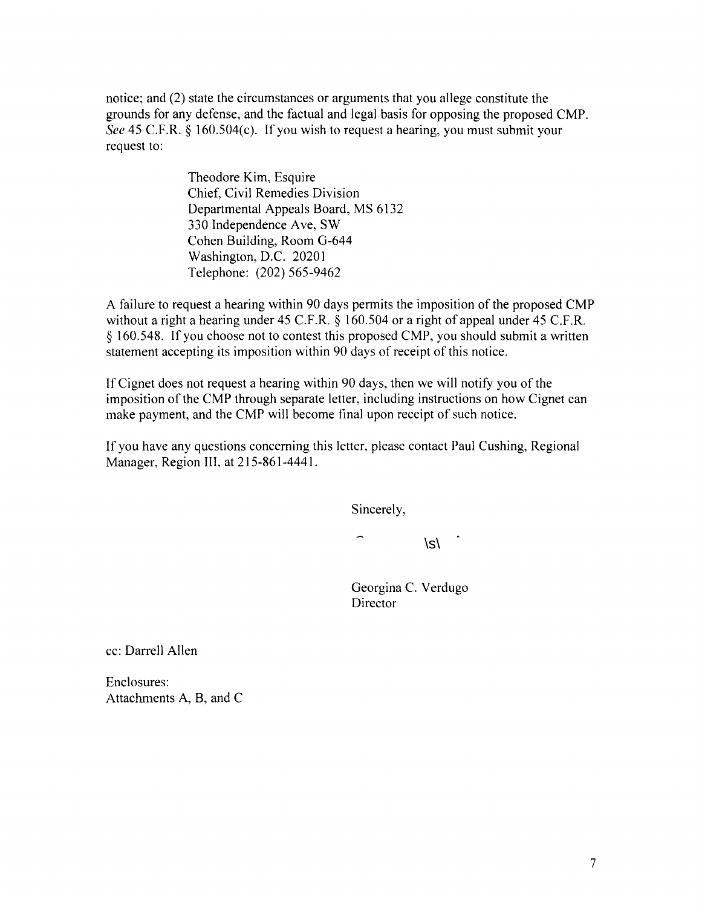notice; and (2) state the circumstances or arguments that you allege constitute the grounds for any defense, and the factual and legal basis for opposing the proposed CMP. *See* 45 C.F.R. § 160.504(c). If you wish to request a hearing, you must submit your request to:

> Theodore Kim, Esquire Chief, Civil Remedies Division Departmental Appeals Board, MS 6132 330 Independence Ave, SW Cohen Building, Room G-644 Washington, D.C. 20201 Telephone: (202) 565-9462

A failure to request a hearing within 90 days permits the imposition of the proposed CMP without a right a hearing under 45 C.F.R. § 160.504 or a right of appeal under 45 C.F.R. § 160.548. If you choose not to contest this proposed CMP, you should submit a written statement accepting its imposition within 90 days of receipt of this notice.

If Cignet does not request a hearing within 90 days, then we will notify you of the imposition of the CMP through separate letter, including instructions on how Cignet can make payment, and the CMP will become final upon receipt of such notice.

If you have any questions concerning this letter, please contact Paul Cushing, Regional Manager, Region III, at 215-861-4441.

Sincerely,

 $\mathcal{S}\setminus$ 

Georgina C. Verdugo Director

cc: Darrell Allen

Enclosures: Attachments A, B, and C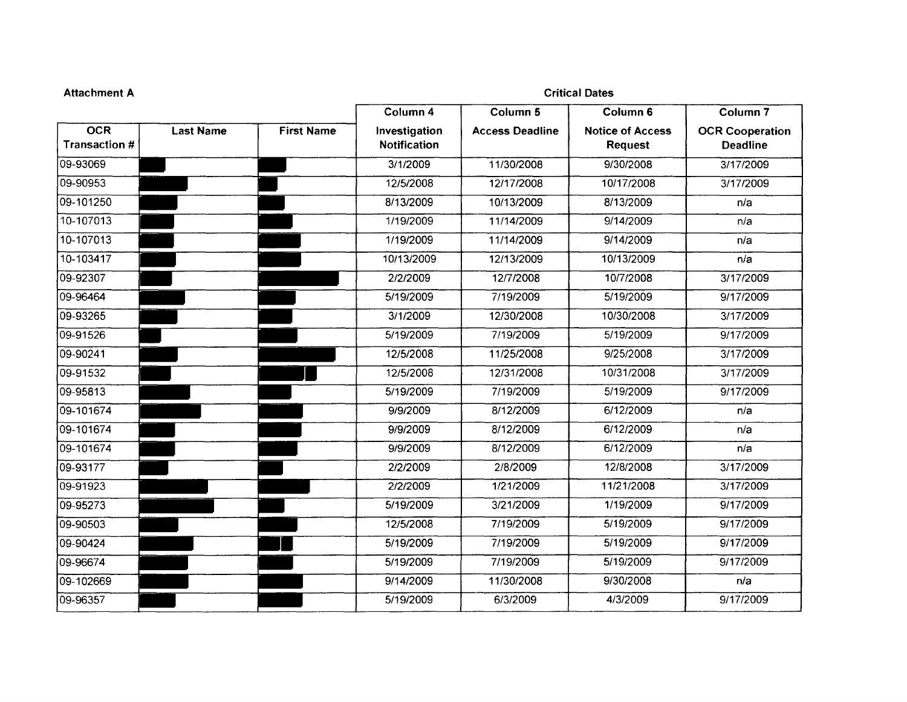| Column <sub>4</sub><br>Column 5<br>Column 6<br><b>OCR</b><br><b>First Name</b><br><b>Last Name</b><br>Investigation<br><b>Notice of Access</b><br><b>Access Deadline</b><br><b>Transaction #</b><br><b>Notification</b><br><b>Request</b><br>09-93069<br>3/1/2009<br>11/30/2008<br>9/30/2008<br>09-90953<br>12/5/2008<br>12/17/2008<br>10/17/2008<br>09-101250<br>8/13/2009<br>10/13/2009<br>8/13/2009<br>10-107013<br>1/19/2009<br>11/14/2009<br>9/14/2009<br>10-107013<br>1/19/2009<br>11/14/2009<br>9/14/2009<br>10-103417<br>10/13/2009<br>12/13/2009<br>10/13/2009<br>09-92307<br>12/7/2008<br>2/2/2009<br>10/7/2008<br>09-96464<br>7/19/2009<br>5/19/2009<br>5/19/2009<br>09-93265<br>12/30/2008<br>10/30/2008<br>3/1/2009<br>09-91526<br>5/19/2009<br>7/19/2009<br>5/19/2009<br>09-90241<br>12/5/2008<br>11/25/2008<br>9/25/2008<br>09-91532<br>12/5/2008<br>12/31/2008<br>10/31/2008<br>09-95813<br>5/19/2009<br>7/19/2009<br>5/19/2009 |                                           |
|-------------------------------------------------------------------------------------------------------------------------------------------------------------------------------------------------------------------------------------------------------------------------------------------------------------------------------------------------------------------------------------------------------------------------------------------------------------------------------------------------------------------------------------------------------------------------------------------------------------------------------------------------------------------------------------------------------------------------------------------------------------------------------------------------------------------------------------------------------------------------------------------------------------------------------------------------|-------------------------------------------|
|                                                                                                                                                                                                                                                                                                                                                                                                                                                                                                                                                                                                                                                                                                                                                                                                                                                                                                                                                 | Column <sub>7</sub>                       |
|                                                                                                                                                                                                                                                                                                                                                                                                                                                                                                                                                                                                                                                                                                                                                                                                                                                                                                                                                 | <b>OCR Cooperation</b><br><b>Deadline</b> |
|                                                                                                                                                                                                                                                                                                                                                                                                                                                                                                                                                                                                                                                                                                                                                                                                                                                                                                                                                 | 3/17/2009                                 |
|                                                                                                                                                                                                                                                                                                                                                                                                                                                                                                                                                                                                                                                                                                                                                                                                                                                                                                                                                 | 3/17/2009                                 |
|                                                                                                                                                                                                                                                                                                                                                                                                                                                                                                                                                                                                                                                                                                                                                                                                                                                                                                                                                 | n/a                                       |
|                                                                                                                                                                                                                                                                                                                                                                                                                                                                                                                                                                                                                                                                                                                                                                                                                                                                                                                                                 | n/a                                       |
|                                                                                                                                                                                                                                                                                                                                                                                                                                                                                                                                                                                                                                                                                                                                                                                                                                                                                                                                                 | n/a                                       |
|                                                                                                                                                                                                                                                                                                                                                                                                                                                                                                                                                                                                                                                                                                                                                                                                                                                                                                                                                 | n/a                                       |
|                                                                                                                                                                                                                                                                                                                                                                                                                                                                                                                                                                                                                                                                                                                                                                                                                                                                                                                                                 | 3/17/2009                                 |
|                                                                                                                                                                                                                                                                                                                                                                                                                                                                                                                                                                                                                                                                                                                                                                                                                                                                                                                                                 | 9/17/2009                                 |
|                                                                                                                                                                                                                                                                                                                                                                                                                                                                                                                                                                                                                                                                                                                                                                                                                                                                                                                                                 | 3/17/2009                                 |
|                                                                                                                                                                                                                                                                                                                                                                                                                                                                                                                                                                                                                                                                                                                                                                                                                                                                                                                                                 | 9/17/2009                                 |
|                                                                                                                                                                                                                                                                                                                                                                                                                                                                                                                                                                                                                                                                                                                                                                                                                                                                                                                                                 | 3/17/2009                                 |
|                                                                                                                                                                                                                                                                                                                                                                                                                                                                                                                                                                                                                                                                                                                                                                                                                                                                                                                                                 | 3/17/2009                                 |
|                                                                                                                                                                                                                                                                                                                                                                                                                                                                                                                                                                                                                                                                                                                                                                                                                                                                                                                                                 | 9/17/2009                                 |
| 09-101674<br>8/12/2009<br>9/9/2009<br>6/12/2009                                                                                                                                                                                                                                                                                                                                                                                                                                                                                                                                                                                                                                                                                                                                                                                                                                                                                                 | n/a                                       |
| 09-101674<br>8/12/2009<br>6/12/2009<br>9/9/2009                                                                                                                                                                                                                                                                                                                                                                                                                                                                                                                                                                                                                                                                                                                                                                                                                                                                                                 | n/a                                       |
| 09-101674<br>9/9/2009<br>8/12/2009<br>6/12/2009                                                                                                                                                                                                                                                                                                                                                                                                                                                                                                                                                                                                                                                                                                                                                                                                                                                                                                 | n/a                                       |
| 2/8/2009<br>12/8/2008<br>09-93177<br>2/2/2009                                                                                                                                                                                                                                                                                                                                                                                                                                                                                                                                                                                                                                                                                                                                                                                                                                                                                                   | 3/17/2009                                 |
| 09-91923<br>2/2/2009<br>1/21/2009<br>11/21/2008                                                                                                                                                                                                                                                                                                                                                                                                                                                                                                                                                                                                                                                                                                                                                                                                                                                                                                 | 3/17/2009                                 |
| 5/19/2009<br>3/21/2009<br>1/19/2009<br>09-95273                                                                                                                                                                                                                                                                                                                                                                                                                                                                                                                                                                                                                                                                                                                                                                                                                                                                                                 | 9/17/2009                                 |
| 7/19/2009<br>5/19/2009<br>09-90503<br>12/5/2008                                                                                                                                                                                                                                                                                                                                                                                                                                                                                                                                                                                                                                                                                                                                                                                                                                                                                                 | 9/17/2009                                 |
| 7/19/2009<br>5/19/2009<br>5/19/2009<br>09-90424                                                                                                                                                                                                                                                                                                                                                                                                                                                                                                                                                                                                                                                                                                                                                                                                                                                                                                 | 9/17/2009                                 |
| 7/19/2009<br>5/19/2009<br>09-96674<br>5/19/2009                                                                                                                                                                                                                                                                                                                                                                                                                                                                                                                                                                                                                                                                                                                                                                                                                                                                                                 | 9/17/2009                                 |
| 09-102669<br>9/14/2009<br>11/30/2008<br>9/30/2008                                                                                                                                                                                                                                                                                                                                                                                                                                                                                                                                                                                                                                                                                                                                                                                                                                                                                               | n/a                                       |
| 09-96357<br>5/19/2009<br>6/3/2009<br>4/3/2009                                                                                                                                                                                                                                                                                                                                                                                                                                                                                                                                                                                                                                                                                                                                                                                                                                                                                                   | 9/17/2009                                 |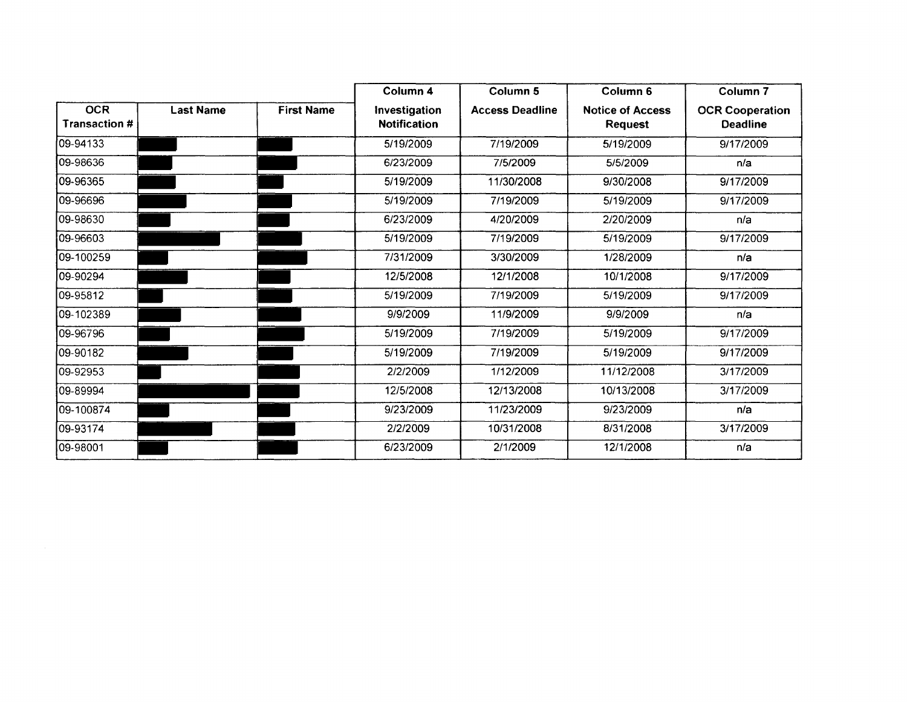|                                   |                  |                   | Column 4                             | Column 5               | Column <sub>6</sub>                       | Column <sub>7</sub>                       |
|-----------------------------------|------------------|-------------------|--------------------------------------|------------------------|-------------------------------------------|-------------------------------------------|
| <b>OCR</b><br><b>Transaction#</b> | <b>Last Name</b> | <b>First Name</b> | Investigation<br><b>Notification</b> | <b>Access Deadline</b> | <b>Notice of Access</b><br><b>Request</b> | <b>OCR Cooperation</b><br><b>Deadline</b> |
| 09-94133                          |                  |                   | 5/19/2009                            | 7/19/2009              | 5/19/2009                                 | 9/17/2009                                 |
| 09-98636                          |                  |                   | 6/23/2009                            | 7/5/2009               | 5/5/2009                                  | n/a                                       |
| 09-96365                          |                  |                   | 5/19/2009                            | 11/30/2008             | 9/30/2008                                 | 9/17/2009                                 |
| 09-96696                          |                  |                   | 5/19/2009                            | 7/19/2009              | 5/19/2009                                 | 9/17/2009                                 |
| 09-98630                          |                  |                   | 6/23/2009                            | 4/20/2009              | 2/20/2009                                 | n/a                                       |
| 09-96603                          |                  |                   | 5/19/2009                            | 7/19/2009              | 5/19/2009                                 | 9/17/2009                                 |
| 09-100259                         |                  |                   | 7/31/2009                            | 3/30/2009              | 1/28/2009                                 | n/a                                       |
| 09-90294                          |                  |                   | 12/5/2008                            | 12/1/2008              | 10/1/2008                                 | 9/17/2009                                 |
| 09-95812                          |                  |                   | 5/19/2009                            | 7/19/2009              | 5/19/2009                                 | 9/17/2009                                 |
| 09-102389                         |                  |                   | 9/9/2009                             | 11/9/2009              | 9/9/2009                                  | n/a                                       |
| 109-96796                         |                  |                   | 5/19/2009                            | 7/19/2009              | 5/19/2009                                 | 9/17/2009                                 |
| 09-90182                          |                  |                   | 5/19/2009                            | 7/19/2009              | 5/19/2009                                 | 9/17/2009                                 |
| 09-92953                          |                  |                   | 2/2/2009                             | 1/12/2009              | 11/12/2008                                | 3/17/2009                                 |
| 09-89994                          |                  |                   | 12/5/2008                            | 12/13/2008             | 10/13/2008                                | 3/17/2009                                 |
| 09-100874                         |                  |                   | 9/23/2009                            | 11/23/2009             | 9/23/2009                                 | n/a                                       |
| 09-93174                          |                  |                   | 2/2/2009                             | 10/31/2008             | 8/31/2008                                 | 3/17/2009                                 |
| 09-98001                          |                  |                   | 6/23/2009                            | 2/1/2009               | 12/1/2008                                 | n/a                                       |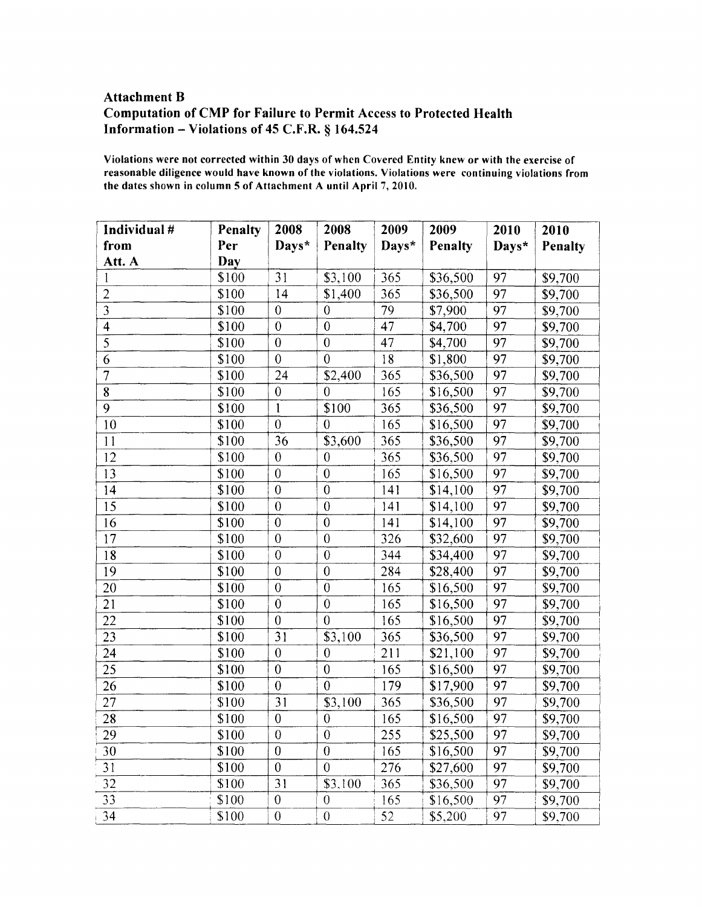### **Attachment B** Computation of CMP for Failure to Permit Access to Protected Health Information - Violations of 45 C.F.R.  $§$  164.524

Violations were not corrected within 30 days of when Covered Entity knew or with the exercise of reasonable diligence would have known of the violations. Violations were continuing violations from the dates shown in column 5 of Attachment A until April 7, 2010.

| Individual #            | Penalty    | 2008             | 2008             | 2009            | 2009           | 2010  | 2010    |
|-------------------------|------------|------------------|------------------|-----------------|----------------|-------|---------|
| from                    | Per        | Days*            | <b>Penalty</b>   | Days*           | <b>Penalty</b> | Days* | Penalty |
| Att. A                  | <b>Day</b> |                  |                  |                 |                |       |         |
| 1                       | \$100      | 31               | \$3,100          | 365             | \$36,500       | 97    | \$9,700 |
| $\sqrt{2}$              | \$100      | 14               | \$1,400          | 365             | \$36,500       | 97    | \$9,700 |
| $\overline{3}$          | \$100      | $\overline{0}$   | $\theta$         | 79              | \$7,900        | 97    | \$9,700 |
| $\overline{\mathbf{4}}$ | \$100      | $\overline{0}$   | $\boldsymbol{0}$ | $\overline{47}$ | \$4,700        | 97    | \$9,700 |
| $\overline{5}$          | \$100      | $\boldsymbol{0}$ | $\boldsymbol{0}$ | 47              | \$4,700        | 97    | \$9,700 |
| 6                       | \$100      | $\overline{0}$   | $\theta$         | 18              | \$1,800        | 97    | \$9,700 |
| $\overline{7}$          | \$100      | 24               | \$2,400          | 365             | \$36,500       | 97    | \$9,700 |
| $\overline{8}$          | \$100      | $\boldsymbol{0}$ | $\theta$         | 165             | \$16,500       | 97    | \$9,700 |
| 9                       | \$100      | $\mathbf{1}$     | \$100            | 365             | \$36,500       | 97    | \$9,700 |
| 10                      | \$100      | $\boldsymbol{0}$ | $\mathbf{0}$     | 165             | \$16,500       | 97    | \$9,700 |
| 11                      | \$100      | 36               | \$3,600          | 365             | \$36,500       | 97    | \$9,700 |
| 12                      | \$100      | $\overline{0}$   | $\theta$         | 365             | \$36,500       | 97    | \$9,700 |
| 13                      | \$100      | $\boldsymbol{0}$ | $\boldsymbol{0}$ | 165             | \$16,500       | 97    | \$9,700 |
| 14                      | \$100      | $\overline{0}$   | $\boldsymbol{0}$ | 141             | \$14,100       | 97    | \$9,700 |
| 15                      | \$100      | $\overline{0}$   | $\boldsymbol{0}$ | 141             | \$14,100       | 97    | \$9,700 |
| 16                      | \$100      | $\overline{0}$   | $\mathbf{0}$     | 141             | \$14,100       | 97    | \$9,700 |
| 17                      | \$100      | $\overline{0}$   | $\overline{0}$   | 326             | \$32,600       | 97    | \$9,700 |
| 18                      | \$100      | $\overline{0}$   | $\boldsymbol{0}$ | 344             | \$34,400       | 97    | \$9,700 |
| 19                      | \$100      | $\mathbf{0}$     | $\boldsymbol{0}$ | 284             | \$28,400       | 97    | \$9,700 |
| 20                      | \$100      | $\overline{0}$   | $\boldsymbol{0}$ | 165             | \$16,500       | 97    | \$9,700 |
| 21                      | \$100      | $\boldsymbol{0}$ | $\theta$         | 165             | \$16,500       | 97    | \$9,700 |
| 22                      | \$100      | $\overline{0}$   | $\overline{0}$   | 165             | \$16,500       | 97    | \$9,700 |
| 23                      | \$100      | $\overline{31}$  | \$3,100          | 365             | \$36,500       | 97    | \$9,700 |
| 24                      | \$100      | $\overline{0}$   | $\theta$         | 211             | \$21,100       | 97    | \$9,700 |
| 25                      | \$100      | $\overline{0}$   | $\boldsymbol{0}$ | 165             | \$16,500       | 97    | \$9,700 |
| 26                      | \$100      | $\boldsymbol{0}$ | $\overline{0}$   | 179             | \$17,900       | 97    | \$9,700 |
| 27                      | \$100      | 3 <sub>1</sub>   | \$3,100          | 365             | \$36,500       | 97    | \$9,700 |
| 28                      | \$100      | $\boldsymbol{0}$ | $\boldsymbol{0}$ | 165             | \$16,500       | 97    | \$9,700 |
| 29                      | \$100      | 0                | $\theta$         | 255             | \$25,500       | 97    | \$9,700 |
| 30                      | \$100      | $\boldsymbol{0}$ | $\boldsymbol{0}$ | 165             | \$16,500       | 97    | \$9,700 |
| 31                      | \$100      | $\boldsymbol{0}$ | $\overline{0}$   | 276             | \$27,600       | 97    | \$9,700 |
| 32                      | \$100      | 31               | \$3,100          | 365             | \$36,500       | 97    | \$9,700 |
| 33                      | \$100      | $\boldsymbol{0}$ | $\boldsymbol{0}$ | 165             | \$16,500       | 97    | \$9,700 |
| 34                      | \$100      | $\boldsymbol{0}$ | $\boldsymbol{0}$ | 52              | \$5,200        | 97    | \$9,700 |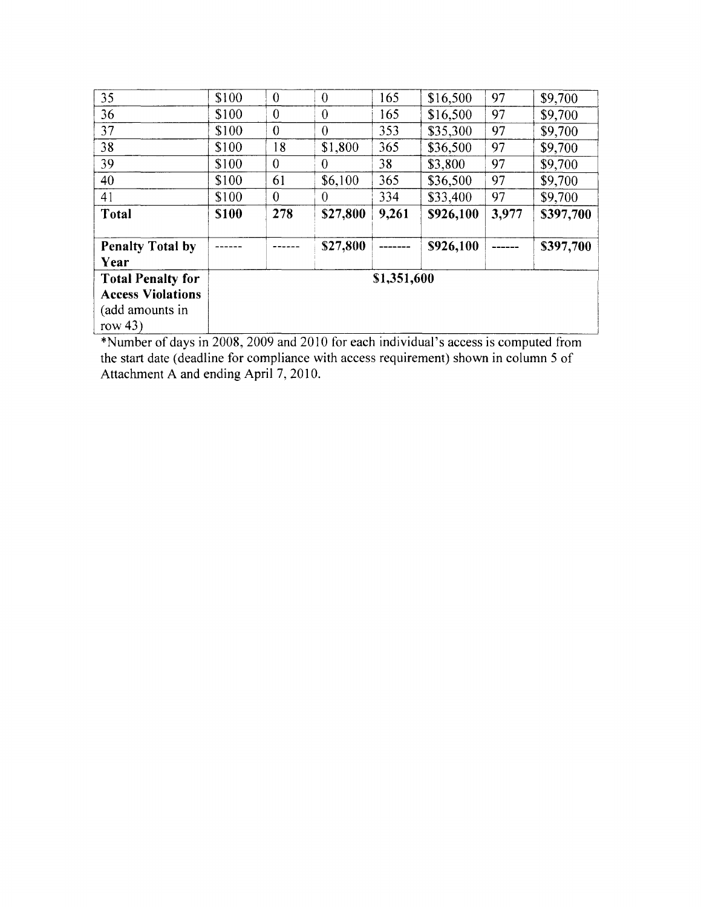| 35                              | \$100       | $\theta$       | $\theta$       | 165         | \$16,500  | 97    | \$9,700   |
|---------------------------------|-------------|----------------|----------------|-------------|-----------|-------|-----------|
| 36                              | \$100       | $\theta$       | $\theta$       | 165         | \$16,500  | 97    | \$9,700   |
| 37                              | \$100       | $\theta$       | $\theta$       | 353         | \$35,300  | 97    | \$9,700   |
| 38                              | \$100       | 18             | \$1,800        | 365         | \$36,500  | 97    | \$9,700   |
| 39                              | \$100       | $\theta$       | $\overline{0}$ | 38          | \$3,800   | 97    | \$9,700   |
| 40                              | \$100       | 61             | \$6,100        | 365         | \$36,500  | 97    | \$9,700   |
| 41                              | \$100       | $\overline{0}$ | $\theta$       | 334         | \$33,400  | 97    | \$9,700   |
| Total                           | <b>S100</b> | 278            | \$27,800       | 9,261       | \$926,100 | 3,977 | \$397,700 |
| <b>Penalty Total by</b><br>Year |             |                | \$27,800       |             | \$926,100 |       | \$397,700 |
| <b>Total Penalty for</b>        |             |                |                | \$1,351,600 |           |       |           |
| <b>Access Violations</b>        |             |                |                |             |           |       |           |
| (add amounts in<br>row $43)$    |             |                |                |             |           |       |           |

\*Number of days in 2008, 2009 and 2010 for each individual's access is computed from<br>the start date (deadline for compliance with access requirement) shown in column 5 of<br>Attachment A and ending April 7, 2010.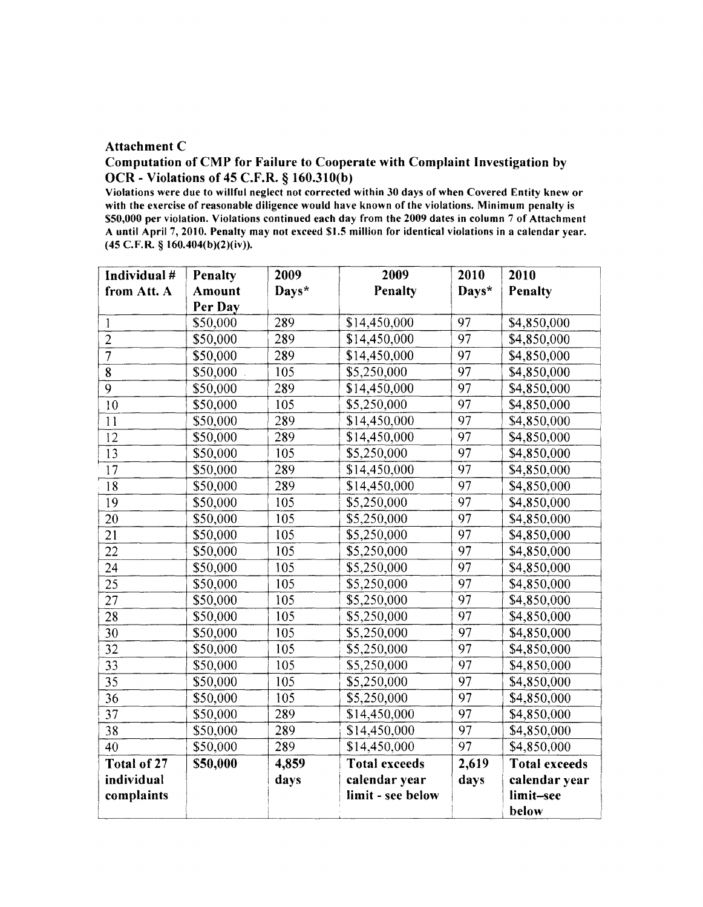#### Attachment C

### Computation of CMP for Failure to Cooperate with Complaint Investigation by OCR - Violations of 45 C.F.R. § 160.310(b)

Violations were due to willful neglect not corrected within 30 days of when Covered Entity knew or with the exercise of reasonable diligence would have known of the violations. Minimum penalty is \$50,000 per violation. Violations continued each day from the 2009 dates in column 7 of Attachment A until April 7, 2010. Penalty may not exceed \$1.5 million for identical violations in a calendar year.  $(45 \text{ C.F.R.} \S 160.404(b)(2)(iv)).$ 

| Individual #    | Penalty  | 2009  | 2009                 | 2010            | 2010                 |
|-----------------|----------|-------|----------------------|-----------------|----------------------|
| from Att. A     | Amount   | Days* | Penalty              | Days*           | <b>Penalty</b>       |
|                 | Per Day  |       |                      |                 |                      |
| $\mathbf{1}$    | \$50,000 | 289   | \$14,450,000         | 97              | \$4,850,000          |
| $\overline{2}$  | \$50,000 | 289   | \$14,450,000         | 97              | \$4,850,000          |
| $\overline{7}$  | \$50,000 | 289   | \$14,450,000         | 97              | \$4,850,000          |
| $\overline{8}$  | \$50,000 | 105   | \$5,250,000          | 97              | \$4,850,000          |
| 9               | \$50,000 | 289   | \$14,450,000         | 97              | \$4,850,000          |
| 10              | \$50,000 | 105   | \$5,250,000          | 97              | \$4,850,000          |
| 11              | \$50,000 | 289   | \$14,450,000         | 97              | \$4,850,000          |
| 12              | \$50,000 | 289   | \$14,450,000         | 97              | \$4,850,000          |
| $\overline{13}$ | \$50,000 | 105   | \$5,250,000          | $\overline{97}$ | \$4,850,000          |
| $\overline{17}$ | \$50,000 | 289   | \$14,450,000         | 97              | \$4,850,000          |
| $\overline{18}$ | \$50,000 | 289   | \$14,450,000         | 97              | \$4,850,000          |
| 19              | \$50,000 | 105   | \$5,250,000          | 97              | \$4,850,000          |
| 20              | \$50,000 | 105   | \$5,250,000          | 97              | \$4,850,000          |
| 21              | \$50,000 | 105   | \$5,250,000          | 97              | \$4,850,000          |
| 22              | \$50,000 | 105   | \$5,250,000          | 97              | \$4,850,000          |
| 24              | \$50,000 | 105   | \$5,250,000          | 97              | \$4,850,000          |
| 25              | \$50,000 | 105   | \$5,250,000          | 97              | \$4,850,000          |
| 27              | \$50,000 | 105   | \$5,250,000          | 97              | \$4,850,000          |
| 28              | \$50,000 | 105   | \$5,250,000          | 97              | \$4,850,000          |
| 30              | \$50,000 | 105   | \$5,250,000          | 97              | \$4,850,000          |
| 32              | \$50,000 | 105   | \$5,250,000          | 97              | \$4,850,000          |
| 33              | \$50,000 | 105   | \$5,250,000          | 97              | \$4,850,000          |
| 35              | \$50,000 | 105   | \$5,250,000          | 97              | \$4,850,000          |
| 36              | \$50,000 | 105   | \$5,250,000          | 97              | \$4,850,000          |
| 37              | \$50,000 | 289   | \$14,450,000         | $\overline{97}$ | \$4,850,000          |
| 38              | \$50,000 | 289   | \$14,450,000         | 97              | \$4,850,000          |
| 40              | \$50,000 | 289   | \$14,450,000         | $\overline{97}$ | \$4,850,000          |
| Total of 27     | \$50,000 | 4,859 | <b>Total exceeds</b> | 2,619           | <b>Total exceeds</b> |
| individual      |          | days  | calendar year        | days            | calendar year        |
| complaints      |          |       | limit - see below    |                 | limit-see            |
|                 |          |       |                      |                 | below                |